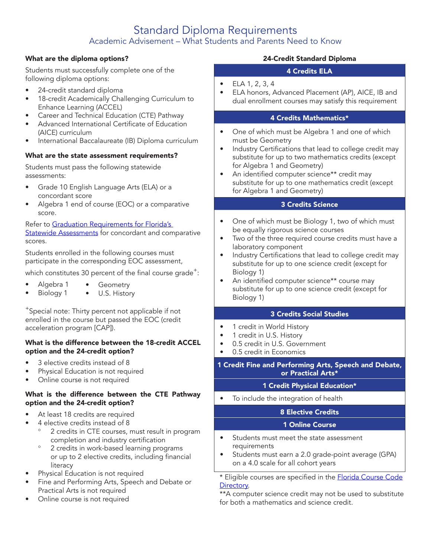# Standard Diploma Requirements Academic Advisement – What Students and Parents Need to Know

#### What are the diploma options?

Students must successfully complete one of the following diploma options:

- 24-credit standard diploma
- 18-credit Academically Challenging Curriculum to Enhance Learning (ACCEL)
- Career and Technical Education (CTE) Pathway
- Advanced International Certificate of Education (AICE) curriculum
- International Baccalaureate (IB) Diploma curriculum

#### What are the state assessment requirements?

Students must pass the following statewide assessments:

- Grade 10 English Language Arts (ELA) or a concordant score
- Algebra 1 end of course (EOC) or a comparative score.

#### Refer to Graduation Requirements for Florida's **[Statewide Assessments](http://www.fldoe.org/core/fileparse.php/7764/urlt/GradRequireFSA.pdf)** for concordant and comparative scores.

Students enrolled in the following courses must participate in the corresponding EOC assessment,

which constitutes 30 percent of the final course grade<sup>+</sup>:

- Algebra 1 Geometry
- Biology 1 U.S. History

<sup>+</sup>Special note: Thirty percent not applicable if not enrolled in the course but passed the EOC (credit acceleration program [CAP]).

#### What is the difference between the 18-credit ACCEL option and the 24-credit option?

- 3 elective credits instead of 8
- Physical Education is not required
- Online course is not required

#### What is the difference between the CTE Pathway option and the 24-credit option?

- At least 18 credits are required
- 4 elective credits instead of 8
	- 2 credits in CTE courses, must result in program completion and industry certification
	- ° 2 credits in work-based learning programs or up to 2 elective credits, including financial literacy
- Physical Education is not required
- Fine and Performing Arts, Speech and Debate or Practical Arts is not required
- Online course is not required

# 24-Credit Standard Diploma

#### 4 Credits ELA

- ELA  $1, 2, 3, 4$
- ELA honors, Advanced Placement (AP), AICE, IB and dual enrollment courses may satisfy this requirement

#### 4 Credits Mathematics\*

- One of which must be Algebra 1 and one of which must be Geometry
- Industry Certifications that lead to college credit may substitute for up to two mathematics credits (except for Algebra 1 and Geometry)
- An identified computer science\*\* credit may substitute for up to one mathematics credit (except for Algebra 1 and Geometry)

# 3 Credits Science

- One of which must be Biology 1, two of which must be equally rigorous science courses
- Two of the three required course credits must have a laboratory component
- Industry Certifications that lead to college credit may substitute for up to one science credit (except for Biology 1)
- An identified computer science\*\* course may substitute for up to one science credit (except for Biology 1)

#### 3 Credits Social Studies

- 1 credit in World History
- 1 credit in U.S. History
- 0.5 credit in U.S. Government
- 0.5 credit in Economics

#### 1 Credit Fine and Performing Arts, Speech and Debate, or Practical Arts\*

### 1 Credit Physical Education\*

• To include the integration of health

### 8 Elective Credits

### 1 Online Course

- Students must meet the state assessment requirements
- Students must earn a 2.0 grade-point average (GPA) on a 4.0 scale for all cohort years

\* Eligible courses are specified in the **[Florida Course Code](http://www.fldoe.org/policy/articulation/ccd/index.stml)** [Directory](http://www.fldoe.org/policy/articulation/ccd/index.stml).

\*\*A computer science credit may not be used to substitute for both a mathematics and science credit.